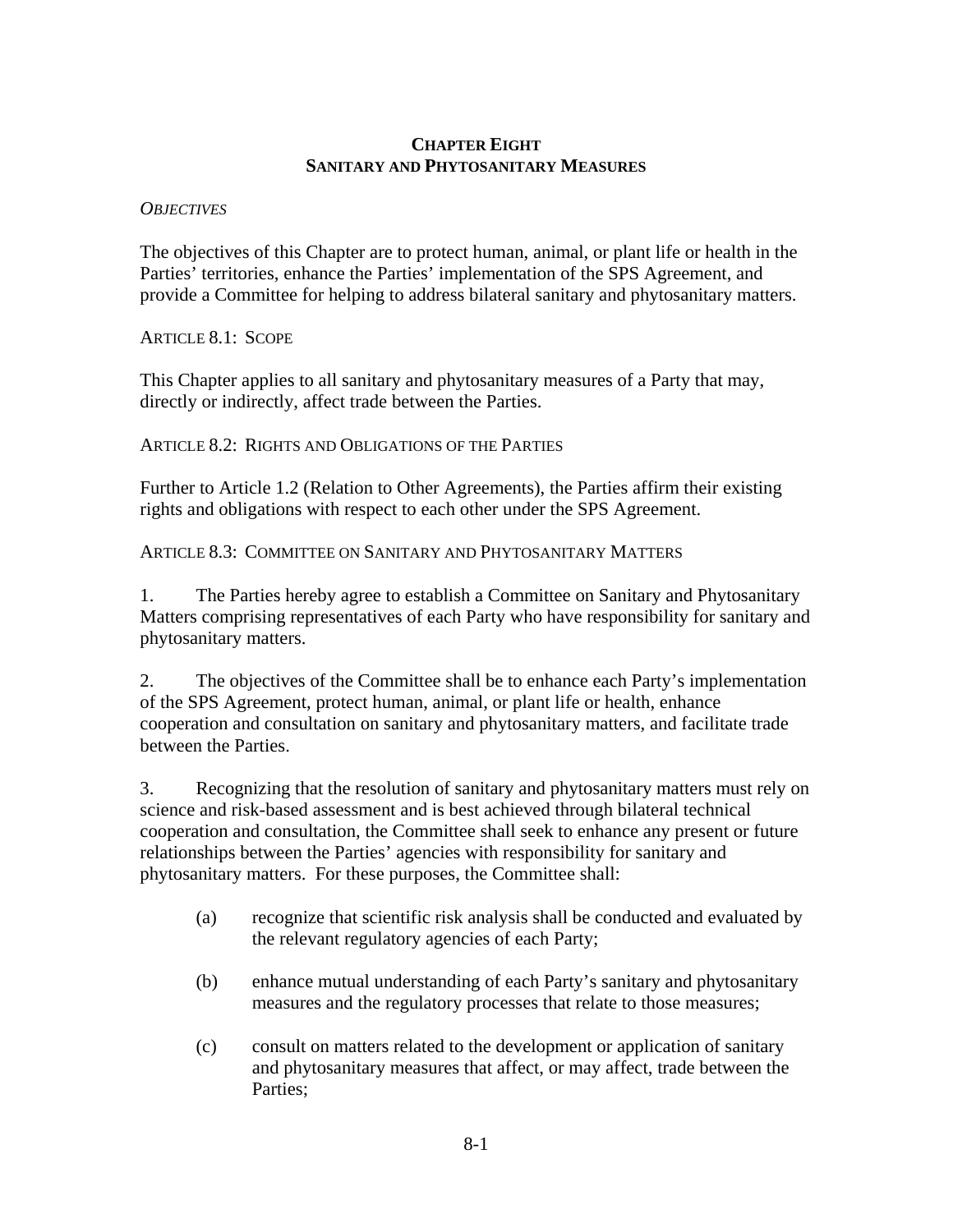## **CHAPTER EIGHT SANITARY AND PHYTOSANITARY MEASURES**

## *OBJECTIVES*

The objectives of this Chapter are to protect human, animal, or plant life or health in the Parties' territories, enhance the Parties' implementation of the SPS Agreement, and provide a Committee for helping to address bilateral sanitary and phytosanitary matters.

ARTICLE 8.1: SCOPE

This Chapter applies to all sanitary and phytosanitary measures of a Party that may, directly or indirectly, affect trade between the Parties.

ARTICLE 8.2: RIGHTS AND OBLIGATIONS OF THE PARTIES

Further to Article 1.2 (Relation to Other Agreements), the Parties affirm their existing rights and obligations with respect to each other under the SPS Agreement.

ARTICLE 8.3: COMMITTEE ON SANITARY AND PHYTOSANITARY MATTERS

1. The Parties hereby agree to establish a Committee on Sanitary and Phytosanitary Matters comprising representatives of each Party who have responsibility for sanitary and phytosanitary matters.

2. The objectives of the Committee shall be to enhance each Party's implementation of the SPS Agreement, protect human, animal, or plant life or health, enhance cooperation and consultation on sanitary and phytosanitary matters, and facilitate trade between the Parties.

3. Recognizing that the resolution of sanitary and phytosanitary matters must rely on science and risk-based assessment and is best achieved through bilateral technical cooperation and consultation, the Committee shall seek to enhance any present or future relationships between the Parties' agencies with responsibility for sanitary and phytosanitary matters. For these purposes, the Committee shall:

- (a) recognize that scientific risk analysis shall be conducted and evaluated by the relevant regulatory agencies of each Party;
- (b) enhance mutual understanding of each Party's sanitary and phytosanitary measures and the regulatory processes that relate to those measures;
- (c) consult on matters related to the development or application of sanitary and phytosanitary measures that affect, or may affect, trade between the Parties;